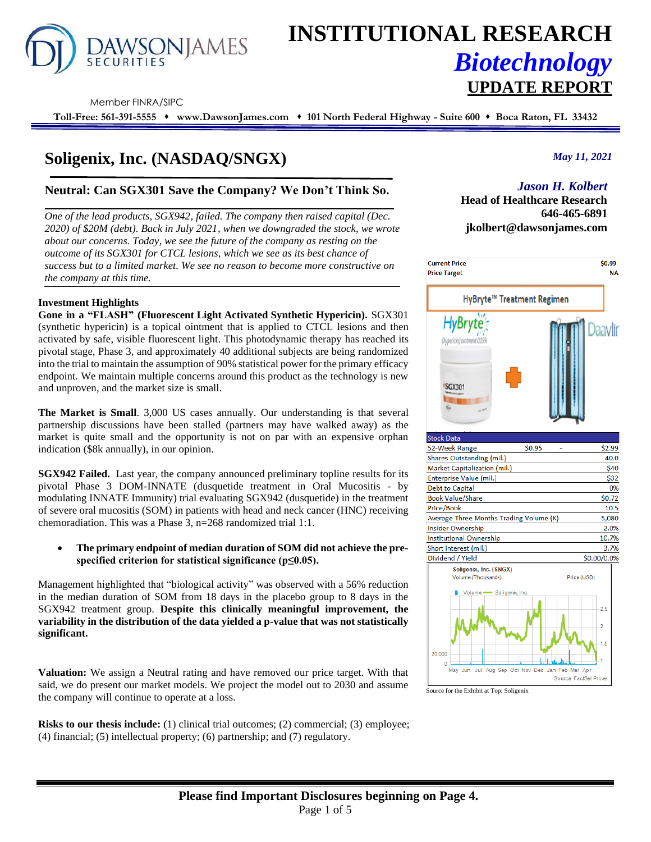

# **INSTITUTIONAL RESEARCH** *Biotechnology* **UPDATE REPORT**

Member FINRA/SIPC

**Toll-Free: 561-391-5555** ⬧ **www.DawsonJames.com** ⬧ **101 North Federal Highway - Suite 600** ⬧ **Boca Raton, FL 33432**

# **Soligenix, Inc. (NASDAQ/SNGX)**

# **Neutral: Can SGX301 Save the Company? We Don't Think So.**

*One of the lead products, SGX942, failed. The company then raised capital (Dec. 2020) of \$20M (debt). Back in July 2021, when we downgraded the stock, we wrote about our concerns. Today, we see the future of the company as resting on the outcome of its SGX301 for CTCL lesions, which we see as its best chance of success but to a limited market. We see no reason to become more constructive on the company at this time.*

#### **Investment Highlights**

**Gone in a "FLASH" (Fluorescent Light Activated Synthetic Hypericin).** SGX301 (synthetic hypericin) is a topical ointment that is applied to CTCL lesions and then activated by safe, visible fluorescent light. This photodynamic therapy has reached its pivotal stage, Phase 3, and approximately 40 additional subjects are being randomized into the trial to maintain the assumption of 90% statistical power for the primary efficacy endpoint. We maintain multiple concerns around this product as the technology is new and unproven, and the market size is small.

**The Market is Small**. 3,000 US cases annually. Our understanding is that several partnership discussions have been stalled (partners may have walked away) as the market is quite small and the opportunity is not on par with an expensive orphan indication (\$8k annually), in our opinion.

**SGX942 Failed.** Last year, the company announced preliminary topline results for its pivotal Phase 3 DOM-INNATE (dusquetide treatment in Oral Mucositis - by modulating INNATE Immunity) trial evaluating SGX942 (dusquetide) in the treatment of severe oral mucositis (SOM) in patients with head and neck cancer (HNC) receiving chemoradiation. This was a Phase 3, n=268 randomized trial 1:1.

• **The primary endpoint of median duration of SOM did not achieve the prespecified criterion for statistical significance (p≤0.05).**

Management highlighted that "biological activity" was observed with a 56% reduction in the median duration of SOM from 18 days in the placebo group to 8 days in the SGX942 treatment group. **Despite this clinically meaningful improvement, the variability in the distribution of the data yielded a p-value that was not statistically significant.**

**Valuation:** We assign a Neutral rating and have removed our price target. With that said, we do present our market models. We project the model out to 2030 and assume the company will continue to operate at a loss.

**Risks to our thesis include:** (1) clinical trial outcomes; (2) commercial; (3) employee; (4) financial; (5) intellectual property; (6) partnership; and (7) regulatory.

### *May 11, 2021*

# *Jason H. Kolbert*

**Head of Healthcare Research 646-465-6891 jkolbert@dawsonjames.com**



Source for the Exhibit at Top: Soligenix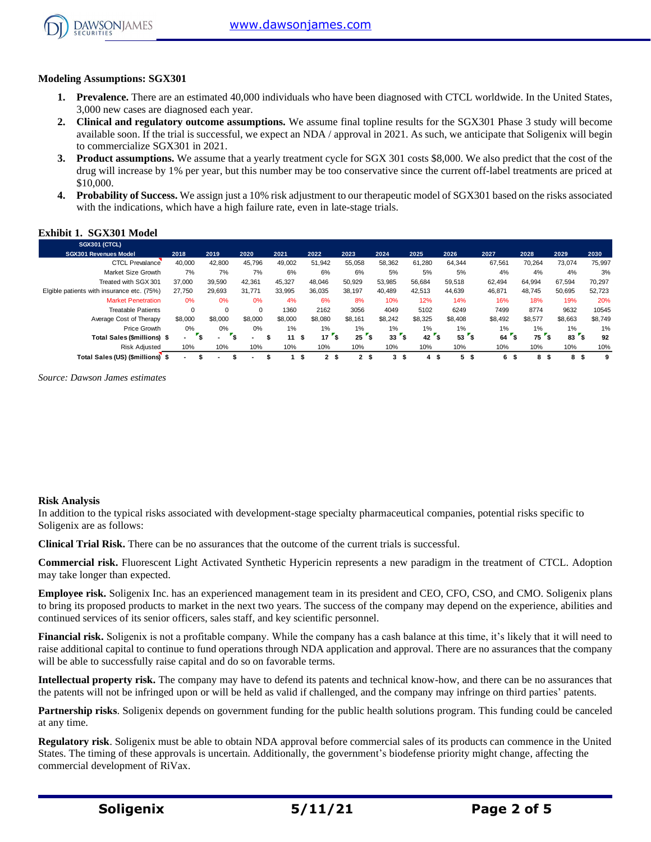

#### **Modeling Assumptions: SGX301**

- **1. Prevalence.** There are an estimated 40,000 individuals who have been diagnosed with CTCL worldwide. In the United States, 3,000 new cases are diagnosed each year.
- **2. Clinical and regulatory outcome assumptions.** We assume final topline results for the SGX301 Phase 3 study will become available soon. If the trial is successful, we expect an NDA / approval in 2021. As such, we anticipate that Soligenix will begin to commercialize SGX301 in 2021.
- **3. Product assumptions.** We assume that a yearly treatment cycle for SGX 301 costs \$8,000. We also predict that the cost of the drug will increase by 1% per year, but this number may be too conservative since the current off-label treatments are priced at \$10,000.
- **4. Probability of Success.** We assign just a 10% risk adjustment to our therapeutic model of SGX301 based on the risks associated with the indications, which have a high failure rate, even in late-stage trials.

# **Exhibit 1. SGX301 Model**

| <b>SGX301 (CTCL)</b>                                                                                                                                                                                                                                                                                                                                                    |                           |                         |                      |                 |                 |                 |                 |                 |                 |                 |                 |                 |                  |
|-------------------------------------------------------------------------------------------------------------------------------------------------------------------------------------------------------------------------------------------------------------------------------------------------------------------------------------------------------------------------|---------------------------|-------------------------|----------------------|-----------------|-----------------|-----------------|-----------------|-----------------|-----------------|-----------------|-----------------|-----------------|------------------|
| SGX301 Revenues Model                                                                                                                                                                                                                                                                                                                                                   | 2018                      | 2019                    | 2020                 | 2021            | 2022            | 2023            | 2024            | 2025            | 2026            | 2027            | 2028            | 2029            | 2030             |
| <b>CTCL Prevalance</b>                                                                                                                                                                                                                                                                                                                                                  | 40,000                    | 42,800                  | 45,796               | 49,002          | 51,942          | 55,058          | 58,362          | 61,280          | 64,344          | 67,561          | 70,264          | 73,074          | 75,997           |
| Market Size Growth                                                                                                                                                                                                                                                                                                                                                      | 7%                        | 7%                      | 7%                   | 6%              | 6%              | 6%              | 5%              | 5%              | 5%              | 4%              | 4%              | 4%              | 3%               |
| Treated with SGX 301                                                                                                                                                                                                                                                                                                                                                    | 37,000                    | 39,590                  | 42,361               | 45,327          | 48,046          | 50,929          | 53,985          | 56,684          | 59,518          | 62,494          | 64,994          | 67,594          | 70,297           |
| Elgible patients with insurance etc. (75%)                                                                                                                                                                                                                                                                                                                              | 27,750                    | 29,693                  | 31,771               | 33,995          | 36,035          | 38,197          | 40,489          | 42,513          | 44,639          | 46,871          | 48,745          | 50,695          | 52,723           |
| <b>Market Penetration</b>                                                                                                                                                                                                                                                                                                                                               | 0%                        | 0%                      | 0%                   | 4%              | 6%              | 8%              | 10%             | 12%             | 14%             | 16%             | 18%             | 19%             | 20%              |
| <b>Treatable Patients</b>                                                                                                                                                                                                                                                                                                                                               | $\pmb{0}$<br>\$8,000      | $\pmb{0}$<br>\$8,000    | $\pmb{0}$<br>\$8,000 | 1360<br>\$8,000 | 2162<br>\$8,080 | 3056<br>\$8,161 | 4049<br>\$8,242 | 5102<br>\$8,325 | 6249<br>\$8,408 | 7499<br>\$8,492 | 8774<br>\$8,577 | 9632<br>\$8,663 | 10545<br>\$8,749 |
| Average Cost of Therapy<br>Price Growth                                                                                                                                                                                                                                                                                                                                 | 0%                        | $0\%$                   | 0%                   | 1%              | 1%              | 1%              | 1%              | 1%              | $1\%$           | 1%              | 1%              | 1%              | 1%               |
| Total Sales (\$millions) \$                                                                                                                                                                                                                                                                                                                                             | $\mathbf{r}_{\mathbf{S}}$ | $\mathbf{r}_\mathsf{S}$ | \$<br>$\blacksquare$ | 11S             | $17F$ \$        | $25 \degree$ \$ | $33 \t{5}$      | $42 \degree$ \$ | $53 \degree$ \$ | $64$ $s$        | $757$ \$        | $83 \degree$ \$ | 92               |
| <b>Risk Adjusted</b>                                                                                                                                                                                                                                                                                                                                                    | 10%                       | 10%                     | 10%                  | 10%             | 10%             | 10%             | 10%             | 10%             | 10%             | 10%             | 10%             | 10%             | 10%              |
| Total Sales (US) (\$millions) \$                                                                                                                                                                                                                                                                                                                                        | \$                        | \$                      | ÷.<br>\$             | 1 <sup>5</sup>  | 2 <sub>5</sub>  | 2 <sub>5</sub>  | 3 <sup>5</sup>  | 4 <sup>5</sup>  | 5 <sup>5</sup>  | 6 <sup>5</sup>  | 8 <sup>5</sup>  | 8 <sup>5</sup>  | 9                |
| Source: Dawson James estimates                                                                                                                                                                                                                                                                                                                                          |                           |                         |                      |                 |                 |                 |                 |                 |                 |                 |                 |                 |                  |
| <b>Risk Analysis</b><br>In addition to the typical risks associated with development-stage specialty pharmaceutical companies, potential risks specific to<br>Soligenix are as follows:                                                                                                                                                                                 |                           |                         |                      |                 |                 |                 |                 |                 |                 |                 |                 |                 |                  |
| Clinical Trial Risk. There can be no assurances that the outcome of the current trials is successful.                                                                                                                                                                                                                                                                   |                           |                         |                      |                 |                 |                 |                 |                 |                 |                 |                 |                 |                  |
| Commercial risk. Fluorescent Light Activated Synthetic Hypericin represents a new paradigm in the treatment of CTCL. Adoption<br>may take longer than expected.                                                                                                                                                                                                         |                           |                         |                      |                 |                 |                 |                 |                 |                 |                 |                 |                 |                  |
| <b>Employee risk.</b> Soligenix Inc. has an experienced management team in its president and CEO, CFO, CSO, and CMO. Soligenix plans<br>to bring its proposed products to market in the next two years. The success of the company may depend on the experience, abilities and<br>continued services of its senior officers, sales staff, and key scientific personnel. |                           |                         |                      |                 |                 |                 |                 |                 |                 |                 |                 |                 |                  |
| Financial risk. Soligenix is not a profitable company. While the company has a cash balance at this time, it's likely that it will need to<br>raise additional capital to continue to fund operations through NDA application and approval. There are no assurances that the company<br>will be able to successfully raise capital and do so on favorable terms.        |                           |                         |                      |                 |                 |                 |                 |                 |                 |                 |                 |                 |                  |
| Intellectual property risk. The company may have to defend its patents and technical know-how, and there can be no assurances that<br>the patents will not be infringed upon or will be held as valid if challenged, and the company may infringe on third parties' patents.                                                                                            |                           |                         |                      |                 |                 |                 |                 |                 |                 |                 |                 |                 |                  |
| Partnership risks. Soligenix depends on government funding for the public health solutions program. This funding could be canceled<br>at any time.                                                                                                                                                                                                                      |                           |                         |                      |                 |                 |                 |                 |                 |                 |                 |                 |                 |                  |
| Regulatory risk. Soligenix must be able to obtain NDA approval before commercial sales of its products can commence in the United<br>States. The timing of these approvals is uncertain. Additionally, the government's biodefense priority might change, affecting the<br>commercial development of RiVax.                                                             |                           |                         |                      |                 |                 |                 |                 |                 |                 |                 |                 |                 |                  |

#### **Risk Analysis**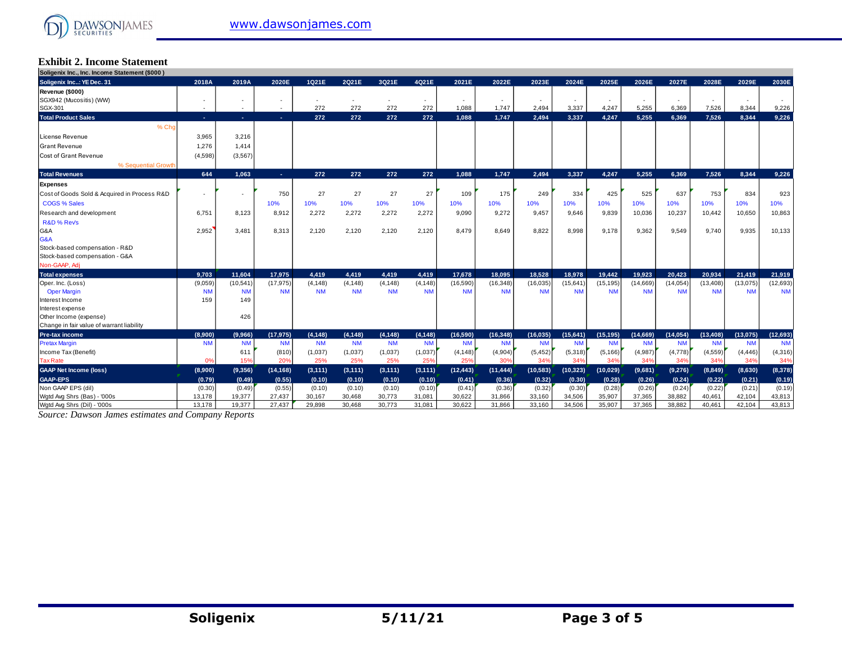# **Exhibit 2. Income Statement**

| Soligenix Inc., Inc. Income Statement (\$000) |            |           |           |           |           |           |           |           |           |           |           |           |           |           |           |           |           |
|-----------------------------------------------|------------|-----------|-----------|-----------|-----------|-----------|-----------|-----------|-----------|-----------|-----------|-----------|-----------|-----------|-----------|-----------|-----------|
| Soligenix Inc: YE Dec. 31                     | 2018A      | 2019A     | 2020E     | 1Q21E     | 2Q21E     | 3Q21E     | 4Q21E     | 2021E     | 2022E     | 2023E     | 2024E     | 2025E     | 2026E     | 2027E     | 2028E     | 2029E     | 2030E     |
| Revenue (\$000)                               |            |           |           |           |           |           |           |           |           |           |           |           |           |           |           |           |           |
| SGX942 (Mucositis) (WW)                       |            |           |           |           |           |           |           |           |           |           |           |           |           |           |           |           |           |
| SGX-301                                       | $\sim$     | $\sim$    | $\sim$    | 272       | 272       | 272       | 272       | 1,088     | 1.747     | 2.494     | 3,337     | 4,247     | 5,255     | 6.369     | 7,526     | 8.344     | 9,226     |
| <b>Total Product Sales</b>                    | <b>COL</b> | $\sim$    | ×.        | 272       | 272       | 272       | 272       | 1,088     | 1.747     | 2,494     | 3,337     | 4,247     | 5.255     | 6.369     | 7,526     | 8,344     | 9.226     |
| % Cho                                         |            |           |           |           |           |           |           |           |           |           |           |           |           |           |           |           |           |
| License Revenue                               | 3,965      | 3,216     |           |           |           |           |           |           |           |           |           |           |           |           |           |           |           |
| <b>Grant Revenue</b>                          | 1,276      | 1.414     |           |           |           |           |           |           |           |           |           |           |           |           |           |           |           |
| Cost of Grant Revenue                         | (4,598)    | (3, 567)  |           |           |           |           |           |           |           |           |           |           |           |           |           |           |           |
| % Sequential Growth                           |            |           |           |           |           |           |           |           |           |           |           |           |           |           |           |           |           |
| <b>Total Revenues</b>                         | 644        | 1.063     | $\sim$    | 272       | 272       | 272       | 272       | 1.088     | 1.747     | 2,494     | 3,337     | 4.247     | 5.255     | 6.369     | 7,526     | 8.344     | 9,226     |
| Expenses                                      |            |           |           |           |           |           |           |           |           |           |           |           |           |           |           |           |           |
| Cost of Goods Sold & Acquired in Process R&D  |            |           | 750       | 27        | 27        | 27        | 27        | 109       | 175       | 249       | 334       | 425       | 525       | 637       | 753       | 834       | 923       |
| <b>COGS % Sales</b>                           |            |           | 10%       | 10%       | 10%       | 10%       | 10%       | 10%       | 10%       | 10%       | 10%       | 10%       | 10%       | 10%       | 10%       | 10%       | 10%       |
| Research and development                      | 6,751      | 8,123     | 8,912     | 2,272     | 2,272     | 2,272     | 2,272     | 9,090     | 9,272     | 9.457     | 9.646     | 9,839     | 10,036    | 10,237    | 10,442    | 10,650    | 10,863    |
| R&D % Rev's                                   |            |           |           |           |           |           |           |           |           |           |           |           |           |           |           |           |           |
| G&A                                           | 2,952      | 3,481     | 8,313     | 2,120     | 2,120     | 2,120     | 2,120     | 8.479     | 8,649     | 8,822     | 8.998     | 9,178     | 9,362     | 9,549     | 9,740     | 9.935     | 10,133    |
| G&A                                           |            |           |           |           |           |           |           |           |           |           |           |           |           |           |           |           |           |
| Stock-based compensation - R&D                |            |           |           |           |           |           |           |           |           |           |           |           |           |           |           |           |           |
| Stock-based compensation - G&A                |            |           |           |           |           |           |           |           |           |           |           |           |           |           |           |           |           |
| Non-GAAP, Adj                                 |            |           |           |           |           |           |           |           |           |           |           |           |           |           |           |           |           |
| <b>Total expenses</b>                         | 9,703      | 11,604    | 17,975    | 4.419     | 4.419     | 4.419     | 4,419     | 17,678    | 18.095    | 18.528    | 18.978    | 19.442    | 19.923    | 20.423    | 20.934    | 21,419    | 21,919    |
| Oper. Inc. (Loss)                             | (9,059)    | (10, 541) | (17, 975) | (4, 148)  | (4, 148)  | (4, 148)  | (4, 148)  | (16, 590) | (16, 348) | (16, 035) | (15, 641) | (15, 195) | (14,669)  | (14, 054) | (13, 408) | (13,075)  | (12,693)  |
| <b>Oper Margin</b>                            | <b>NM</b>  | <b>NM</b> | <b>NM</b> | <b>NM</b> | <b>NM</b> | <b>NM</b> | <b>NM</b> | <b>NM</b> | <b>NM</b> | <b>NM</b> | <b>NM</b> | <b>NM</b> | <b>NM</b> | <b>NN</b> | <b>NM</b> | <b>NM</b> | <b>NM</b> |
| Interest Income                               | 159        | 149       |           |           |           |           |           |           |           |           |           |           |           |           |           |           |           |
| Interest expense                              |            |           |           |           |           |           |           |           |           |           |           |           |           |           |           |           |           |
| Other Income (expense)                        |            | 426       |           |           |           |           |           |           |           |           |           |           |           |           |           |           |           |
| Change in fair value of warrant liability     |            |           |           |           |           |           |           |           |           |           |           |           |           |           |           |           |           |
| Pre-tax income                                | (8,900)    | (9,966)   | (17, 975) | (4, 148)  | (4, 148)  | (4, 148)  | (4, 148)  | (16, 590) | (16, 348) | (16, 035) | (15.641)  | (15, 195) | (14,669)  | (14, 054) | (13, 408) | (13.075)  | (12, 693) |
| <b>Pretax Margin</b>                          | <b>NM</b>  | <b>NM</b> | <b>NM</b> | <b>NM</b> | <b>NM</b> | <b>NM</b> | <b>NM</b> | <b>NM</b> | <b>NM</b> | <b>NM</b> | <b>NM</b> | <b>NM</b> | <b>NM</b> | <b>NM</b> | <b>NM</b> | <b>NM</b> | <b>NM</b> |
| Income Tax (Benefit)                          |            | 611       | (810)     | (1,037)   | (1,037)   | (1,037)   | (1,037)   | (4, 148)  | (4,904)   | (5, 452)  | (5,318)   | (5, 166)  | (4,987)   | (4,778)   | (4, 559)  | (4, 446)  | (4,316)   |
| <b>Tax Rate</b>                               | 0%         | 15%       | 20%       | 25%       | 25%       | 25%       | 25%       | 25%       | 30%       | 34%       | 34%       | 34%       | 349       | 349       | 34%       | 34%       | 34%       |
| <b>GAAP Net Income (loss)</b>                 | (8,900)    | (9,356)   | (14, 168) | (3, 111)  | (3, 111)  | (3, 111)  | (3, 111)  | (12, 443) | (11, 444) | (10, 583) | (10, 323) | (10,029)  | (9,681)   | (9,276)   | (8,849)   | (8,630)   | (8, 378)  |
| <b>GAAP-EPS</b>                               | (0.79)     | (0.49)    | (0.55)    | (0.10)    | (0.10)    | (0.10)    | (0.10)    | (0.41)    | (0.36)    | (0.32)    | (0.30)    | (0.28)    | (0.26)    | (0.24)    | (0.22)    | (0.21)    | (0.19)    |
| Non GAAP EPS (dil)                            | (0.30)     | (0.49)    | (0.55)    | (0.10)    | (0.10)    | (0.10)    | (0.10)    | (0.41)    | (0.36)    | (0.32)    | (0.30)    | (0.28)    | (0.26)    | (0.24)    | (0.22)    | (0.21)    | (0.19)    |
| Wotd Avg Shrs (Bas) - '000s                   | 13.178     | 19.377    | 27.437    | 30,167    | 30.468    | 30,773    | 31.081    | 30,622    | 31,866    | 33,160    | 34,506    | 35,907    | 37,365    | 38.882    | 40.461    | 42.104    | 43,813    |
| Watd Ava Shrs (Dil) - '000s                   | 13.178     | 19.377    | 27.437    | 29.898    | 30.468    | 30.773    | 31.081    | 30.622    | 31.866    | 33,160    | 34.506    | 35.907    | 37.365    | 38,882    | 40.461    | 42.104    | 43.813    |

*Source: Dawson James estimates and Company Reports* Source: Daw son James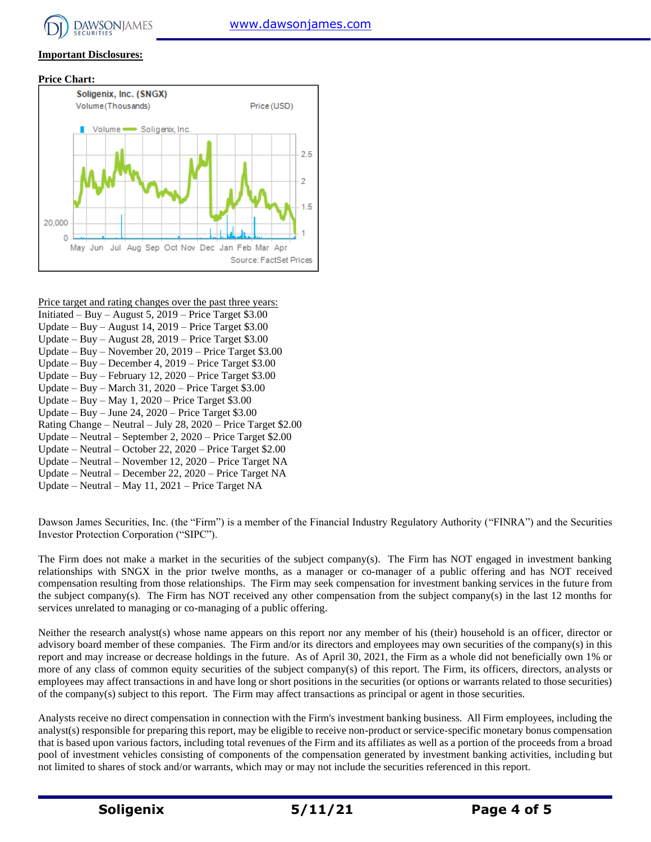

#### **Important Disclosures:**





- Price target and rating changes over the past three years:
- Initiated Buy August 5, 2019 Price Target \$3.00
- Update Buy August 14, 2019 Price Target \$3.00
- Update Buy August 28, 2019 Price Target \$3.00 Update – Buy – November 20, 2019 – Price Target \$3.00
- Update Buy December 4, 2019 Price Target \$3.00
- Update Buy February 12, 2020 Price Target \$3.00
- Update Buy March 31, 2020 Price Target \$3.00
- Update Buy May 1, 2020 Price Target \$3.00
- Update Buy June 24,  $2020$  Price Target \$3.00
- Rating Change Neutral July 28, 2020 Price Target \$2.00
- Update Neutral September 2, 2020 Price Target \$2.00
- Update Neutral October 22, 2020 Price Target \$2.00
- Update Neutral November 12, 2020 Price Target NA
- Update Neutral December 22, 2020 Price Target NA
- Update Neutral May 11, 2021 Price Target NA

Dawson James Securities, Inc. (the "Firm") is a member of the Financial Industry Regulatory Authority ("FINRA") and the Securities Investor Protection Corporation ("SIPC").

The Firm does not make a market in the securities of the subject company(s). The Firm has NOT engaged in investment banking relationships with SNGX in the prior twelve months, as a manager or co-manager of a public offering and has NOT received compensation resulting from those relationships. The Firm may seek compensation for investment banking services in the future from the subject company(s). The Firm has NOT received any other compensation from the subject company(s) in the last 12 months for services unrelated to managing or co-managing of a public offering.

Neither the research analyst(s) whose name appears on this report nor any member of his (their) household is an officer, director or advisory board member of these companies. The Firm and/or its directors and employees may own securities of the company(s) in this report and may increase or decrease holdings in the future. As of April 30, 2021, the Firm as a whole did not beneficially own 1% or more of any class of common equity securities of the subject company(s) of this report. The Firm, its officers, directors, analysts or employees may affect transactions in and have long or short positions in the securities (or options or warrants related to those securities) of the company(s) subject to this report. The Firm may affect transactions as principal or agent in those securities.

Analysts receive no direct compensation in connection with the Firm's investment banking business. All Firm employees, including the analyst(s) responsible for preparing this report, may be eligible to receive non-product or service-specific monetary bonus compensation that is based upon various factors, including total revenues of the Firm and its affiliates as well as a portion of the proceeds from a broad pool of investment vehicles consisting of components of the compensation generated by investment banking activities, including but not limited to shares of stock and/or warrants, which may or may not include the securities referenced in this report.